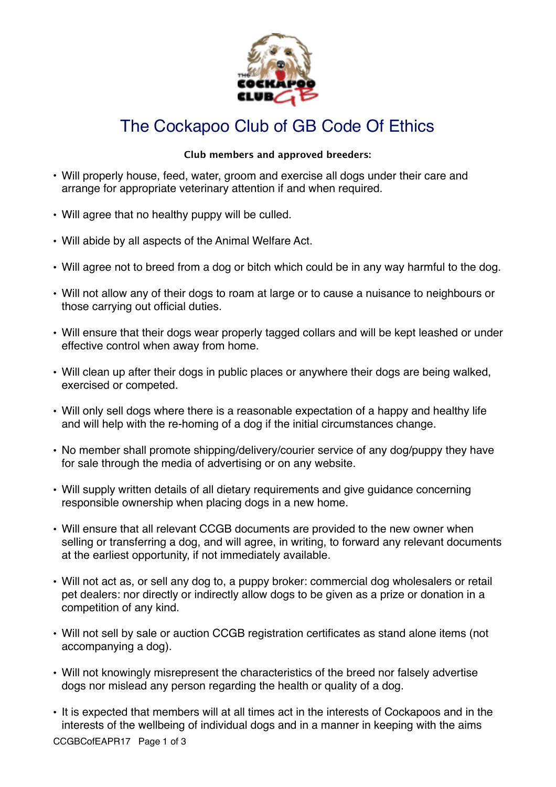

## The Cockapoo Club of GB Code Of Ethics

## **Club members and approved breeders:**

- Will properly house, feed, water, groom and exercise all dogs under their care and arrange for appropriate veterinary attention if and when required.
- Will agree that no healthy puppy will be culled.
- Will abide by all aspects of the Animal Welfare Act.
- Will agree not to breed from a dog or bitch which could be in any way harmful to the dog.
- Will not allow any of their dogs to roam at large or to cause a nuisance to neighbours or those carrying out official duties.
- Will ensure that their dogs wear properly tagged collars and will be kept leashed or under effective control when away from home.
- Will clean up after their dogs in public places or anywhere their dogs are being walked, exercised or competed.
- Will only sell dogs where there is a reasonable expectation of a happy and healthy life and will help with the re-homing of a dog if the initial circumstances change.
- No member shall promote shipping/delivery/courier service of any dog/puppy they have for sale through the media of advertising or on any website.
- Will supply written details of all dietary requirements and give guidance concerning responsible ownership when placing dogs in a new home.
- Will ensure that all relevant CCGB documents are provided to the new owner when selling or transferring a dog, and will agree, in writing, to forward any relevant documents at the earliest opportunity, if not immediately available.
- Will not act as, or sell any dog to, a puppy broker: commercial dog wholesalers or retail pet dealers: nor directly or indirectly allow dogs to be given as a prize or donation in a competition of any kind.
- Will not sell by sale or auction CCGB registration certificates as stand alone items (not accompanying a dog).
- Will not knowingly misrepresent the characteristics of the breed nor falsely advertise dogs nor mislead any person regarding the health or quality of a dog.
- It is expected that members will at all times act in the interests of Cockapoos and in the interests of the wellbeing of individual dogs and in a manner in keeping with the aims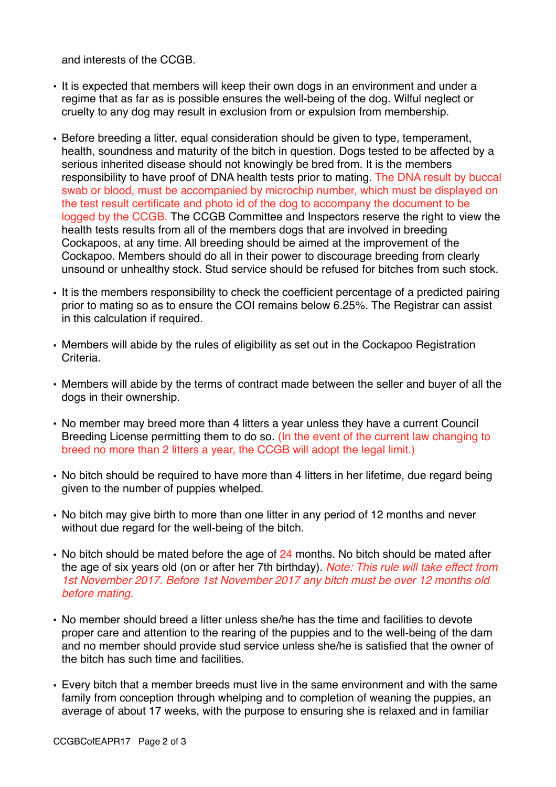and interests of the CCGB.

- It is expected that members will keep their own dogs in an environment and under a regime that as far as is possible ensures the well-being of the dog. Wilful neglect or cruelty to any dog may result in exclusion from or expulsion from membership.
- Before breeding a litter, equal consideration should be given to type, temperament, health, soundness and maturity of the bitch in question. Dogs tested to be affected by a serious inherited disease should not knowingly be bred from. It is the members responsibility to have proof of DNA health tests prior to mating. The DNA result by buccal swab or blood, must be accompanied by microchip number, which must be displayed on the test result certificate and photo id of the dog to accompany the document to be logged by the CCGB. The CCGB Committee and Inspectors reserve the right to view the health tests results from all of the members dogs that are involved in breeding Cockapoos, at any time. All breeding should be aimed at the improvement of the Cockapoo. Members should do all in their power to discourage breeding from clearly unsound or unhealthy stock. Stud service should be refused for bitches from such stock.
- It is the members responsibility to check the coefficient percentage of a predicted pairing prior to mating so as to ensure the COI remains below 6.25%. The Registrar can assist in this calculation if required.
- Members will abide by the rules of eligibility as set out in the Cockapoo Registration **Criteria**
- Members will abide by the terms of contract made between the seller and buyer of all the dogs in their ownership.
- No member may breed more than 4 litters a year unless they have a current Council Breeding License permitting them to do so. (In the event of the current law changing to breed no more than 2 litters a year, the CCGB will adopt the legal limit.)
- No bitch should be required to have more than 4 litters in her lifetime, due regard being given to the number of puppies whelped.
- No bitch may give birth to more than one litter in any period of 12 months and never without due regard for the well-being of the bitch.
- No bitch should be mated before the age of  $24$  months. No bitch should be mated after the age of six years old (on or after her 7th birthday). *Note: This rule will take effect from 1st November 2017. Before 1st November 2017 any bitch must be over 12 months old before mating.*
- No member should breed a litter unless she/he has the time and facilities to devote proper care and attention to the rearing of the puppies and to the well-being of the dam and no member should provide stud service unless she/he is satisfied that the owner of the bitch has such time and facilities.
- Every bitch that a member breeds must live in the same environment and with the same family from conception through whelping and to completion of weaning the puppies, an average of about 17 weeks, with the purpose to ensuring she is relaxed and in familiar